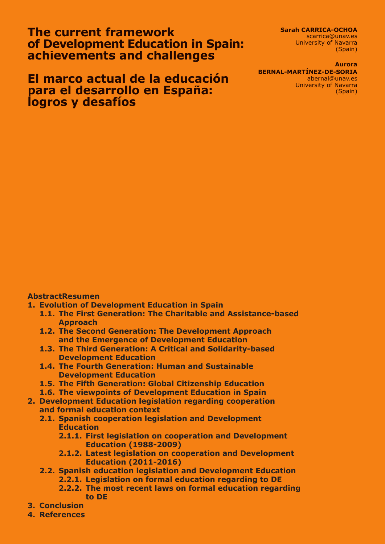**The current framework of Development Education in Spain: achievements and challenges**

**El marco actual de la educación para el desarrollo en España: logros y desafíos**

**Sarah CARRICA-OCHOA**

scarrica@unav.es University of Navarra (Spain)

#### **Aurora**

**BERNAL-MARTÍNEZ-DE-SORIA** abernal@unav.es University of Navarra (Spain)

### **AbstractResumen**

- **1. Evolution of Development Education in Spain**
	- **1.1. The First Generation: The Charitable and Assistance-based Approach**
	- **1.2. The Second Generation: The Development Approach and the Emergence of Development Education**
	- **1.3. The Third Generation: A Critical and Solidarity-based Development Education**
	- **1.4. The Fourth Generation: Human and Sustainable Development Education**
	- **1.5. The Fifth Generation: Global Citizenship Education**
	- **1.6. The viewpoints of Development Education in Spain**
- **2. Development Education legislation regarding cooperation and formal education context**
	- **2.1. Spanish cooperation legislation and Development Education**
		- **2.1.1. First legislation on cooperation and Development Education (1988-2009)**
		- **2.1.2. Latest legislation on cooperation and Development Education (2011-2016)**
	- **2.2. Spanish education legislation and Development Education**
		- **2.2.1. Legislation on formal education regarding to DE**
		- **2.2.2. The most recent laws on formal education regarding to DE**
- **3. Conclusion**
- **4. References**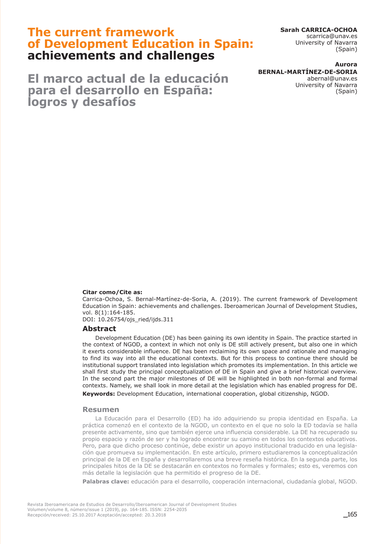# **The current framework of Development Education in Spain: achievements and challenges**

**El marco actual de la educación para el desarrollo en España: logros y desafíos**

**Sarah CARRICA-OCHOA** scarrica@unav.es

University of Navarra (Spain)

#### **Aurora BERNAL-MARTÍNEZ-DE-SORIA** abernal@unav.es University of Navarra

(Spain)

#### **Citar como/Cite as:**

Carrica-Ochoa, S. Bernal-Martínez-de-Soria, A. (2019). The current framework of Development Education in Spain: achievements and challenges. Iberoamerican Journal of Development Studies, vol. 8(1):164-185.

DOI: 10.26754/ojs\_ried/ijds.311

### **Abstract**

Development Education (DE) has been gaining its own identity in Spain. The practice started in the context of NGOD, a context in which not only is DE still actively present, but also one in which it exerts considerable influence. DE has been reclaiming its own space and rationale and managing to find its way into all the educational contexts. But for this process to continue there should be institutional support translated into legislation which promotes its implementation. In this article we shall first study the principal conceptualization of DE in Spain and give a brief historical overview. In the second part the major milestones of DE will be highlighted in both non-formal and formal contexts. Namely, we shall look in more detail at the legislation which has enabled progress for DE. **Keywords:** Development Education, international cooperation, global citizenship, NGOD.

#### **Resumen**

La Educación para el Desarrollo (ED) ha ido adquiriendo su propia identidad en España. La práctica comenzó en el contexto de la NGOD, un contexto en el que no solo la ED todavía se halla presente activamente, sino que también ejerce una influencia considerable. La DE ha recuperado su propio espacio y razón de ser y ha logrado encontrar su camino en todos los contextos educativos. Pero, para que dicho proceso continúe, debe existir un apoyo institucional traducido en una legislación que promueva su implementación. En este artículo, primero estudiaremos la conceptualización principal de la DE en España y desarrollaremos una breve reseña histórica. En la segunda parte, los principales hitos de la DE se destacarán en contextos no formales y formales; esto es, veremos con más detalle la legislación que ha permitido el progreso de la DE.

**Palabras clave:** educación para el desarrollo, cooperación internacional, ciudadanía global, NGOD.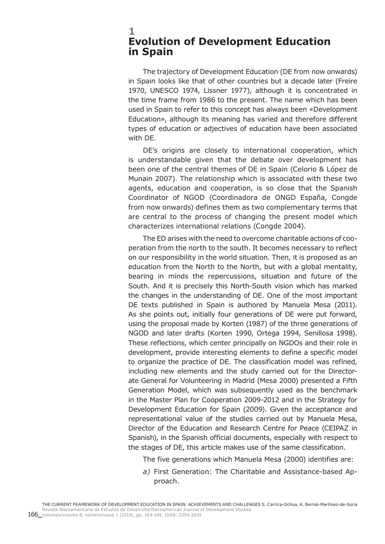## **1 Evolution of Development Education in Spain**

The trajectory of Development Education (DE from now onwards) in Spain looks like that of other countries but a decade later (Freire 1970, UNESCO 1974, Lissner 1977), although it is concentrated in the time frame from 1986 to the present. The name which has been used in Spain to refer to this concept has always been «Development Education», although its meaning has varied and therefore different types of education or adjectives of education have been associated with DE.

DE's origins are closely to international cooperation, which is understandable given that the debate over development has been one of the central themes of DE in Spain (Celorio & López de Munain 2007). The relationship which is associated with these two agents, education and cooperation, is so close that the Spanish Coordinator of NGOD (Coordinadora de ONGD España, Congde from now onwards) defines them as two complementary terms that are central to the process of changing the present model which characterizes international relations (Congde 2004).

The ED arises with the need to overcome charitable actions of cooperation from the north to the south. It becomes necessary to reflect on our responsibility in the world situation. Then, it is proposed as an education from the North to the North, but with a global mentality, bearing in minds the repercussions, situation and future of the South. And it is precisely this North-South vision which has marked the changes in the understanding of DE. One of the most important DE texts published in Spain is authored by Manuela Mesa (2011). As she points out, initially four generations of DE were put forward, using the proposal made by Korten (1987) of the three generations of NGOD and later drafts (Korten 1990, Ortega 1994, Senillosa 1998). These reflections, which center principally on NGDOs and their role in development, provide interesting elements to define a specific model to organize the practice of DE. The classification model was refined, including new elements and the study carried out for the Directorate General for Volunteering in Madrid (Mesa 2000) presented a Fifth Generation Model, which was subsequently used as the benchmark in the Master Plan for Cooperation 2009-2012 and in the Strategy for Development Education for Spain (2009). Given the acceptance and representational value of the studies carried out by Manuela Mesa, Director of the Education and Research Centre for Peace (CEIPAZ in Spanish), in the Spanish official documents, especially with respect to the stages of DE, this article makes use of the same classification.

The five generations which Manuela Mesa (2000) identifies are:

*a)* First Generation: The Charitable and Assistance-based Approach.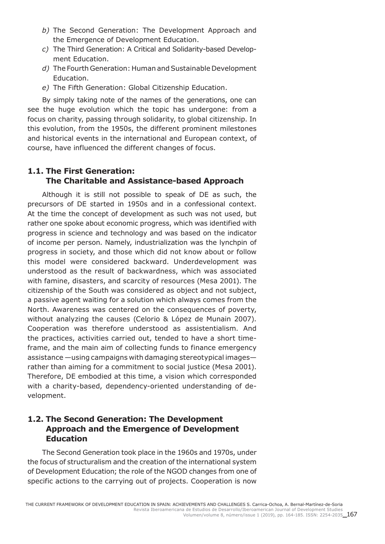- *b)* The Second Generation: The Development Approach and the Emergence of Development Education.
- *c)* The Third Generation: A Critical and Solidarity-based Development Education.
- *d)* The Fourth Generation: Human and Sustainable Development Education.
- *e)* The Fifth Generation: Global Citizenship Education.

By simply taking note of the names of the generations, one can see the huge evolution which the topic has undergone: from a focus on charity, passing through solidarity, to global citizenship. In this evolution, from the 1950s, the different prominent milestones and historical events in the international and European context, of course, have influenced the different changes of focus.

# **1.1. The First Generation: The Charitable and Assistance-based Approach**

Although it is still not possible to speak of DE as such, the precursors of DE started in 1950s and in a confessional context. At the time the concept of development as such was not used, but rather one spoke about economic progress, which was identified with progress in science and technology and was based on the indicator of income per person. Namely, industrialization was the lynchpin of progress in society, and those which did not know about or follow this model were considered backward. Underdevelopment was understood as the result of backwardness, which was associated with famine, disasters, and scarcity of resources (Mesa 2001). The citizenship of the South was considered as object and not subject, a passive agent waiting for a solution which always comes from the North. Awareness was centered on the consequences of poverty, without analyzing the causes (Celorio & López de Munain 2007). Cooperation was therefore understood as assistentialism. And the practices, activities carried out, tended to have a short timeframe, and the main aim of collecting funds to finance emergency assistance —using campaigns with damaging stereotypical images rather than aiming for a commitment to social justice (Mesa 2001). Therefore, DE embodied at this time, a vision which corresponded with a charity-based, dependency-oriented understanding of development.

## **1.2. The Second Generation: The Development Approach and the Emergence of Development Education**

The Second Generation took place in the 1960s and 1970s, under the focus of structuralism and the creation of the international system of Development Education; the role of the NGOD changes from one of specific actions to the carrying out of projects. Cooperation is now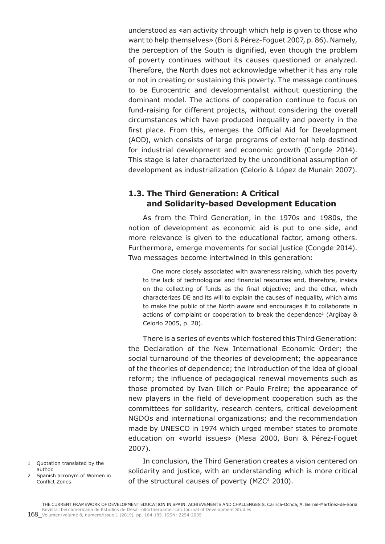understood as «an activity through which help is given to those who want to help themselves» (Boni & Pérez-Foguet 2007, p. 86). Namely, the perception of the South is dignified, even though the problem of poverty continues without its causes questioned or analyzed. Therefore, the North does not acknowledge whether it has any role or not in creating or sustaining this poverty. The message continues to be Eurocentric and developmentalist without questioning the dominant model. The actions of cooperation continue to focus on fund-raising for different projects, without considering the overall circumstances which have produced inequality and poverty in the first place. From this, emerges the Official Aid for Development (AOD), which consists of large programs of external help destined for industrial development and economic growth (Congde 2014). This stage is later characterized by the unconditional assumption of development as industrialization (Celorio & López de Munain 2007).

## **1.3. The Third Generation: A Critical and Solidarity-based Development Education**

As from the Third Generation, in the 1970s and 1980s, the notion of development as economic aid is put to one side, and more relevance is given to the educational factor, among others. Furthermore, emerge movements for social justice (Congde 2014). Two messages become intertwined in this generation:

One more closely associated with awareness raising, which ties poverty to the lack of technological and financial resources and, therefore, insists on the collecting of funds as the final objective; and the other, which characterizes DE and its will to explain the causes of inequality, which aims to make the public of the North aware and encourages it to collaborate in actions of complaint or cooperation to break the dependence<sup>1</sup> (Argibay  $\&$ Celorio 2005, p. 20).

There is a series of events which fostered this Third Generation: the Declaration of the New International Economic Order; the social turnaround of the theories of development; the appearance of the theories of dependence; the introduction of the idea of global reform; the influence of pedagogical renewal movements such as those promoted by Ivan Illich or Paulo Freire; the appearance of new players in the field of development cooperation such as the committees for solidarity, research centers, critical development NGDOs and international organizations; and the recommendation made by UNESCO in 1974 which urged member states to promote education on «world issues» (Mesa 2000, Boni & Pérez-Foguet 2007).

- 1 Quotation translated by the author.
- 2 Spanish acronym of Women in Conflict Zones.

In conclusion, the Third Generation creates a vision centered on solidarity and justice, with an understanding which is more critical of the structural causes of poverty ( $MZC<sup>2</sup>$  2010).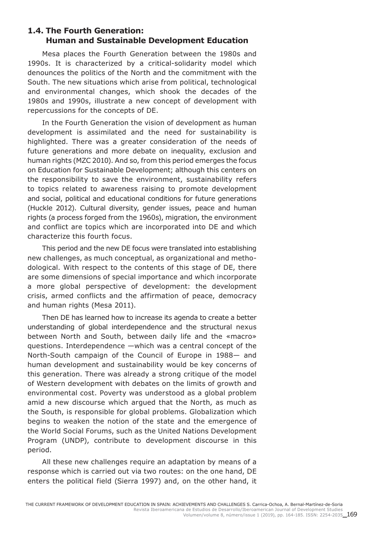## **1.4. The Fourth Generation: Human and Sustainable Development Education**

Mesa places the Fourth Generation between the 1980s and 1990s. It is characterized by a critical-solidarity model which denounces the politics of the North and the commitment with the South. The new situations which arise from political, technological and environmental changes, which shook the decades of the 1980s and 1990s, illustrate a new concept of development with repercussions for the concepts of DE.

In the Fourth Generation the vision of development as human development is assimilated and the need for sustainability is highlighted. There was a greater consideration of the needs of future generations and more debate on inequality, exclusion and human rights (MZC 2010). And so, from this period emerges the focus on Education for Sustainable Development; although this centers on the responsibility to save the environment, sustainability refers to topics related to awareness raising to promote development and social, political and educational conditions for future generations (Huckle 2012). Cultural diversity, gender issues, peace and human rights (a process forged from the 1960s), migration, the environment and conflict are topics which are incorporated into DE and which characterize this fourth focus.

This period and the new DE focus were translated into establishing new challenges, as much conceptual, as organizational and methodological. With respect to the contents of this stage of DE, there are some dimensions of special importance and which incorporate a more global perspective of development: the development crisis, armed conflicts and the affirmation of peace, democracy and human rights (Mesa 2011).

Then DE has learned how to increase its agenda to create a better understanding of global interdependence and the structural nexus between North and South, between daily life and the «macro» questions. Interdependence —which was a central concept of the North-South campaign of the Council of Europe in 1988— and human development and sustainability would be key concerns of this generation. There was already a strong critique of the model of Western development with debates on the limits of growth and environmental cost. Poverty was understood as a global problem amid a new discourse which argued that the North, as much as the South, is responsible for global problems. Globalization which begins to weaken the notion of the state and the emergence of the World Social Forums, such as the United Nations Development Program (UNDP), contribute to development discourse in this period.

All these new challenges require an adaptation by means of a response which is carried out via two routes: on the one hand, DE enters the political field (Sierra 1997) and, on the other hand, it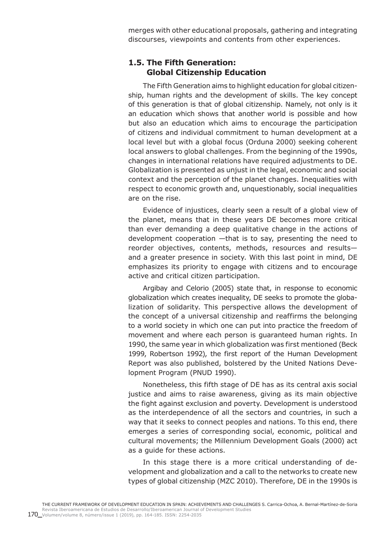merges with other educational proposals, gathering and integrating discourses, viewpoints and contents from other experiences.

## **1.5. The Fifth Generation: Global Citizenship Education**

The Fifth Generation aims to highlight education for global citizenship, human rights and the development of skills. The key concept of this generation is that of global citizenship. Namely, not only is it an education which shows that another world is possible and how but also an education which aims to encourage the participation of citizens and individual commitment to human development at a local level but with a global focus (Orduna 2000) seeking coherent local answers to global challenges. From the beginning of the 1990s, changes in international relations have required adjustments to DE. Globalization is presented as unjust in the legal, economic and social context and the perception of the planet changes. Inequalities with respect to economic growth and, unquestionably, social inequalities are on the rise.

Evidence of injustices, clearly seen a result of a global view of the planet, means that in these years DE becomes more critical than ever demanding a deep qualitative change in the actions of development cooperation —that is to say, presenting the need to reorder objectives, contents, methods, resources and results and a greater presence in society. With this last point in mind, DE emphasizes its priority to engage with citizens and to encourage active and critical citizen participation.

Argibay and Celorio (2005) state that, in response to economic globalization which creates inequality, DE seeks to promote the globalization of solidarity. This perspective allows the development of the concept of a universal citizenship and reaffirms the belonging to a world society in which one can put into practice the freedom of movement and where each person is guaranteed human rights. In 1990, the same year in which globalization was first mentioned (Beck 1999, Robertson 1992), the first report of the Human Development Report was also published, bolstered by the United Nations Development Program (PNUD 1990).

Nonetheless, this fifth stage of DE has as its central axis social justice and aims to raise awareness, giving as its main objective the fight against exclusion and poverty. Development is understood as the interdependence of all the sectors and countries, in such a way that it seeks to connect peoples and nations. To this end, there emerges a series of corresponding social, economic, political and cultural movements; the Millennium Development Goals (2000) act as a guide for these actions.

In this stage there is a more critical understanding of development and globalization and a call to the networks to create new types of global citizenship (MZC 2010). Therefore, DE in the 1990s is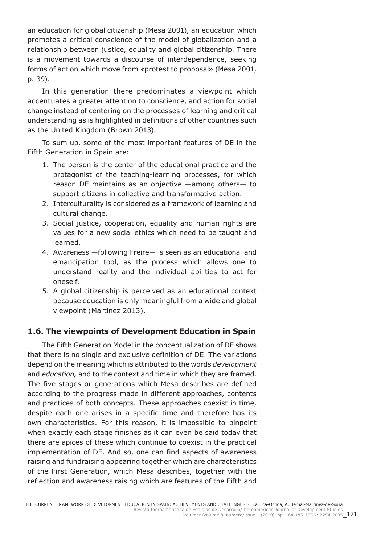an education for global citizenship (Mesa 2001), an education which promotes a critical conscience of the model of globalization and a relationship between justice, equality and global citizenship. There is a movement towards a discourse of interdependence, seeking forms of action which move from «protest to proposal» (Mesa 2001, p. 39).

In this generation there predominates a viewpoint which accentuates a greater attention to conscience, and action for social change instead of centering on the processes of learning and critical understanding as is highlighted in definitions of other countries such as the United Kingdom (Brown 2013).

To sum up, some of the most important features of DE in the Fifth Generation in Spain are:

- 1. The person is the center of the educational practice and the protagonist of the teaching-learning processes, for which reason DE maintains as an objective —among others— to support citizens in collective and transformative action.
- 2. Interculturality is considered as a framework of learning and cultural change.
- 3. Social justice, cooperation, equality and human rights are values for a new social ethics which need to be taught and learned.
- 4. Awareness —following Freire— is seen as an educational and emancipation tool, as the process which allows one to understand reality and the individual abilities to act for oneself.
- 5. A global citizenship is perceived as an educational context because education is only meaningful from a wide and global viewpoint (Martínez 2013).

## **1.6. The viewpoints of Development Education in Spain**

The Fifth Generation Model in the conceptualization of DE shows that there is no single and exclusive definition of DE. The variations depend on the meaning which is attributed to the words *development* and *education,* and to the context and time in which they are framed. The five stages or generations which Mesa describes are defined according to the progress made in different approaches, contents and practices of both concepts. These approaches coexist in time, despite each one arises in a specific time and therefore has its own characteristics. For this reason, it is impossible to pinpoint when exactly each stage finishes as it can even be said today that there are apices of these which continue to coexist in the practical implementation of DE. And so, one can find aspects of awareness raising and fundraising appearing together which are characteristics of the First Generation, which Mesa describes, together with the reflection and awareness raising which are features of the Fifth and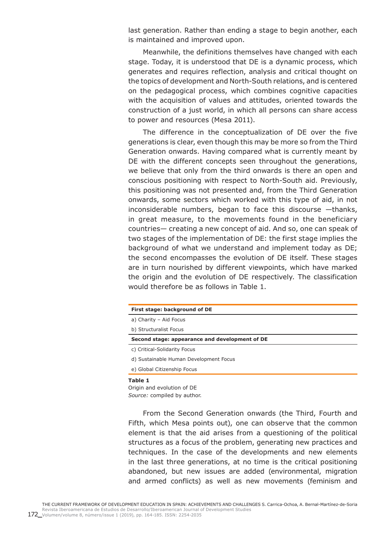last generation. Rather than ending a stage to begin another, each is maintained and improved upon.

Meanwhile, the definitions themselves have changed with each stage. Today, it is understood that DE is a dynamic process, which generates and requires reflection, analysis and critical thought on the topics of development and North-South relations, and is centered on the pedagogical process, which combines cognitive capacities with the acquisition of values and attitudes, oriented towards the construction of a just world, in which all persons can share access to power and resources (Mesa 2011).

The difference in the conceptualization of DE over the five generations is clear, even though this may be more so from the Third Generation onwards. Having compared what is currently meant by DE with the different concepts seen throughout the generations, we believe that only from the third onwards is there an open and conscious positioning with respect to North-South aid. Previously, this positioning was not presented and, from the Third Generation onwards, some sectors which worked with this type of aid, in not inconsiderable numbers, began to face this discourse —thanks, in great measure, to the movements found in the beneficiary countries— creating a new concept of aid. And so, one can speak of two stages of the implementation of DE: the first stage implies the background of what we understand and implement today as DE; the second encompasses the evolution of DE itself. These stages are in turn nourished by different viewpoints, which have marked the origin and the evolution of DE respectively. The classification would therefore be as follows in Table 1.

| First stage: background of DE                  |  |
|------------------------------------------------|--|
| a) Charity - Aid Focus                         |  |
| b) Structuralist Focus                         |  |
| Second stage: appearance and development of DE |  |
| c) Critical-Solidarity Focus                   |  |
| d) Sustainable Human Development Focus         |  |
| e) Global Citizenship Focus                    |  |

Origin and evolution of DE *Source:* compiled by author.

From the Second Generation onwards (the Third, Fourth and Fifth, which Mesa points out), one can observe that the common element is that the aid arises from a questioning of the political structures as a focus of the problem, generating new practices and techniques. In the case of the developments and new elements in the last three generations, at no time is the critical positioning abandoned, but new issues are added (environmental, migration and armed conflicts) as well as new movements (feminism and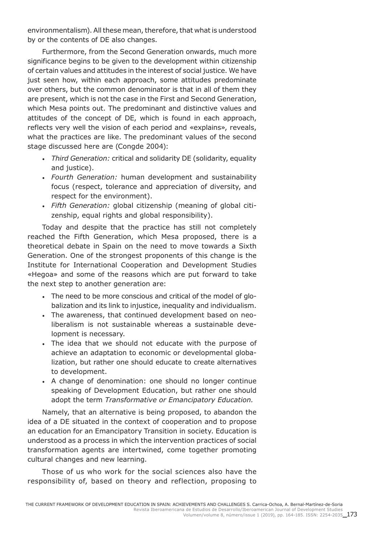environmentalism). All these mean, therefore, that what is understood by or the contents of DE also changes.

Furthermore, from the Second Generation onwards, much more significance begins to be given to the development within citizenship of certain values and attitudes in the interest of social justice. We have just seen how, within each approach, some attitudes predominate over others, but the common denominator is that in all of them they are present, which is not the case in the First and Second Generation, which Mesa points out. The predominant and distinctive values and attitudes of the concept of DE, which is found in each approach, reflects very well the vision of each period and «explains», reveals, what the practices are like. The predominant values of the second stage discussed here are (Congde 2004):

- *Third Generation:* critical and solidarity DE (solidarity, equality and justice).
- *Fourth Generation:* human development and sustainability focus (respect, tolerance and appreciation of diversity, and respect for the environment).
- *Fifth Generation:* global citizenship (meaning of global citizenship, equal rights and global responsibility).

Today and despite that the practice has still not completely reached the Fifth Generation, which Mesa proposed, there is a theoretical debate in Spain on the need to move towards a Sixth Generation. One of the strongest proponents of this change is the Institute for International Cooperation and Development Studies «Hegoa» and some of the reasons which are put forward to take the next step to another generation are:

- The need to be more conscious and critical of the model of globalization and its link to injustice, inequality and individualism.
- The awareness, that continued development based on neoliberalism is not sustainable whereas a sustainable development is necessary.
- The idea that we should not educate with the purpose of achieve an adaptation to economic or developmental globalization, but rather one should educate to create alternatives to development.
- A change of denomination: one should no longer continue speaking of Development Education, but rather one should adopt the term *Transformative or Emancipatory Education.*

Namely, that an alternative is being proposed, to abandon the idea of a DE situated in the context of cooperation and to propose an education for an Emancipatory Transition in society. Education is understood as a process in which the intervention practices of social transformation agents are intertwined, come together promoting cultural changes and new learning.

Those of us who work for the social sciences also have the responsibility of, based on theory and reflection, proposing to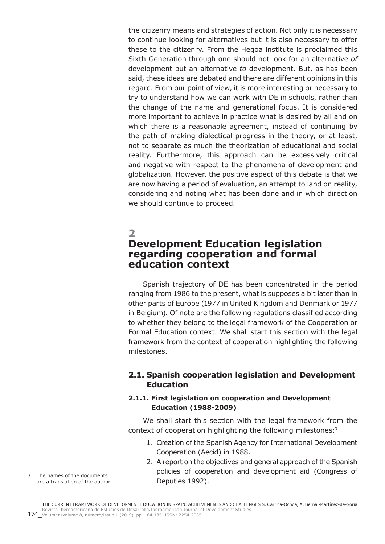the citizenry means and strategies of action. Not only it is necessary to continue looking for alternatives but it is also necessary to offer these to the citizenry. From the Hegoa institute is proclaimed this Sixth Generation through one should not look for an alternative *of* development but an alternative *to* development. But, as has been said, these ideas are debated and there are different opinions in this regard. From our point of view, it is more interesting or necessary to try to understand how we can work with DE in schools, rather than the change of the name and generational focus. It is considered more important to achieve in practice what is desired by all and on which there is a reasonable agreement, instead of continuing by the path of making dialectical progress in the theory, or at least, not to separate as much the theorization of educational and social reality. Furthermore, this approach can be excessively critical and negative with respect to the phenomena of development and globalization. However, the positive aspect of this debate is that we are now having a period of evaluation, an attempt to land on reality, considering and noting what has been done and in which direction we should continue to proceed.

# **2 Development Education legislation regarding cooperation and formal education context**

Spanish trajectory of DE has been concentrated in the period ranging from 1986 to the present, what is supposes a bit later than in other parts of Europe (1977 in United Kingdom and Denmark or 1977 in Belgium). Of note are the following regulations classified according to whether they belong to the legal framework of the Cooperation or Formal Education context. We shall start this section with the legal framework from the context of cooperation highlighting the following milestones.

## **2.1. Spanish cooperation legislation and Development Education**

### **2.1.1. First legislation on cooperation and Development Education (1988-2009)**

We shall start this section with the legal framework from the context of cooperation highlighting the following milestones:<sup>3</sup>

- 1. Creation of the Spanish Agency for International Development Cooperation (Aecid) in 1988.
- 2. A report on the objectives and general approach of the Spanish policies of cooperation and development aid (Congress of Deputies 1992).
- 3 The names of the documents are a translation of the author.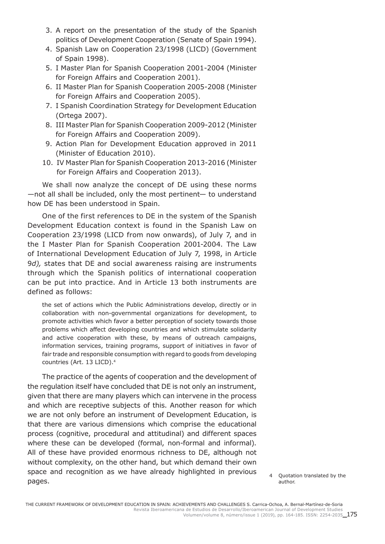- 3. A report on the presentation of the study of the Spanish politics of Development Cooperation (Senate of Spain 1994).
- 4. Spanish Law on Cooperation 23/1998 (LICD) (Government of Spain 1998).
- 5. I Master Plan for Spanish Cooperation 2001-2004 (Minister for Foreign Affairs and Cooperation 2001).
- 6. II Master Plan for Spanish Cooperation 2005-2008 (Minister for Foreign Affairs and Cooperation 2005).
- 7. I Spanish Coordination Strategy for Development Education (Ortega 2007).
- 8. III Master Plan for Spanish Cooperation 2009-2012 (Minister for Foreign Affairs and Cooperation 2009).
- 9. Action Plan for Development Education approved in 2011 (Minister of Education 2010).
- 10. IV Master Plan for Spanish Cooperation 2013-2016 (Minister for Foreign Affairs and Cooperation 2013).

We shall now analyze the concept of DE using these norms —not all shall be included, only the most pertinent— to understand how DE has been understood in Spain.

One of the first references to DE in the system of the Spanish Development Education context is found in the Spanish Law on Cooperation 23/1998 (LICD from now onwards), of July 7, and in the I Master Plan for Spanish Cooperation 2001-2004. The Law of International Development Education of July 7, 1998, in Article 9*d),* states that DE and social awareness raising are instruments through which the Spanish politics of international cooperation can be put into practice. And in Article 13 both instruments are defined as follows:

the set of actions which the Public Administrations develop, directly or in collaboration with non-governmental organizations for development, to promote activities which favor a better perception of society towards those problems which affect developing countries and which stimulate solidarity and active cooperation with these, by means of outreach campaigns, information services, training programs, support of initiatives in favor of fair trade and responsible consumption with regard to goods from developing countries (Art. 13 LICD).4

The practice of the agents of cooperation and the development of the regulation itself have concluded that DE is not only an instrument, given that there are many players which can intervene in the process and which are receptive subjects of this. Another reason for which we are not only before an instrument of Development Education, is that there are various dimensions which comprise the educational process (cognitive, procedural and attitudinal) and different spaces where these can be developed (formal, non-formal and informal). All of these have provided enormous richness to DE, although not without complexity, on the other hand, but which demand their own space and recognition as we have already highlighted in previous pages.

4 Quotation translated by the author.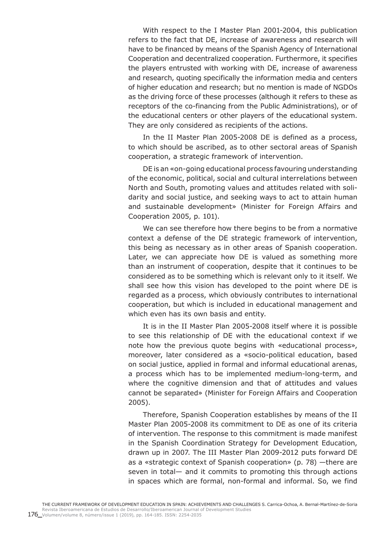With respect to the I Master Plan 2001-2004, this publication refers to the fact that DE, increase of awareness and research will have to be financed by means of the Spanish Agency of International Cooperation and decentralized cooperation. Furthermore, it specifies the players entrusted with working with DE, increase of awareness and research, quoting specifically the information media and centers of higher education and research; but no mention is made of NGDOs as the driving force of these processes (although it refers to these as receptors of the co-financing from the Public Administrations), or of the educational centers or other players of the educational system. They are only considered as recipients of the actions.

In the II Master Plan 2005-2008 DE is defined as a process, to which should be ascribed, as to other sectoral areas of Spanish cooperation, a strategic framework of intervention.

DE is an «on-going educational process favouring understanding of the economic, political, social and cultural interrelations between North and South, promoting values and attitudes related with solidarity and social justice, and seeking ways to act to attain human and sustainable development» (Minister for Foreign Affairs and Cooperation 2005, p. 101).

We can see therefore how there begins to be from a normative context a defense of the DE strategic framework of intervention, this being as necessary as in other areas of Spanish cooperation. Later, we can appreciate how DE is valued as something more than an instrument of cooperation, despite that it continues to be considered as to be something which is relevant only to it itself. We shall see how this vision has developed to the point where DE is regarded as a process, which obviously contributes to international cooperation, but which is included in educational management and which even has its own basis and entity.

It is in the II Master Plan 2005-2008 itself where it is possible to see this relationship of DE with the educational context if we note how the previous quote begins with «educational process», moreover, later considered as a «socio-political education, based on social justice, applied in formal and informal educational arenas, a process which has to be implemented medium-long-term, and where the cognitive dimension and that of attitudes and values cannot be separated» (Minister for Foreign Affairs and Cooperation 2005).

Therefore, Spanish Cooperation establishes by means of the II Master Plan 2005-2008 its commitment to DE as one of its criteria of intervention. The response to this commitment is made manifest in the Spanish Coordination Strategy for Development Education, drawn up in 2007. The III Master Plan 2009-2012 puts forward DE as a «strategic context of Spanish cooperation» (p. 78) —there are seven in total— and it commits to promoting this through actions in spaces which are formal, non-formal and informal. So, we find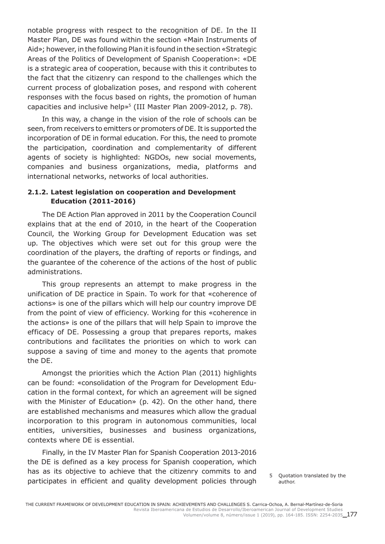notable progress with respect to the recognition of DE. In the II Master Plan, DE was found within the section «Main Instruments of Aid»; however, in the following Plan it is found in the section «Strategic Areas of the Politics of Development of Spanish Cooperation»: «DE is a strategic area of cooperation, because with this it contributes to the fact that the citizenry can respond to the challenges which the current process of globalization poses, and respond with coherent responses with the focus based on rights, the promotion of human capacities and inclusive help»<sup>5</sup> (III Master Plan 2009-2012, p. 78).

In this way, a change in the vision of the role of schools can be seen, from receivers to emitters or promoters of DE. It is supported the incorporation of DE in formal education. For this, the need to promote the participation, coordination and complementarity of different agents of society is highlighted: NGDOs, new social movements, companies and business organizations, media, platforms and international networks, networks of local authorities.

### **2.1.2. Latest legislation on cooperation and Development Education (2011-2016)**

The DE Action Plan approved in 2011 by the Cooperation Council explains that at the end of 2010, in the heart of the Cooperation Council, the Working Group for Development Education was set up. The objectives which were set out for this group were the coordination of the players, the drafting of reports or findings, and the guarantee of the coherence of the actions of the host of public administrations.

This group represents an attempt to make progress in the unification of DE practice in Spain. To work for that «coherence of actions» is one of the pillars which will help our country improve DE from the point of view of efficiency. Working for this «coherence in the actions» is one of the pillars that will help Spain to improve the efficacy of DE. Possessing a group that prepares reports, makes contributions and facilitates the priorities on which to work can suppose a saving of time and money to the agents that promote the DE.

Amongst the priorities which the Action Plan (2011) highlights can be found: «consolidation of the Program for Development Education in the formal context, for which an agreement will be signed with the Minister of Education» (p. 42). On the other hand, there are established mechanisms and measures which allow the gradual incorporation to this program in autonomous communities, local entities, universities, businesses and business organizations, contexts where DE is essential.

Finally, in the IV Master Plan for Spanish Cooperation 2013-2016 the DE is defined as a key process for Spanish cooperation, which has as its objective to achieve that the citizenry commits to and participates in efficient and quality development policies through

5 Quotation translated by the author.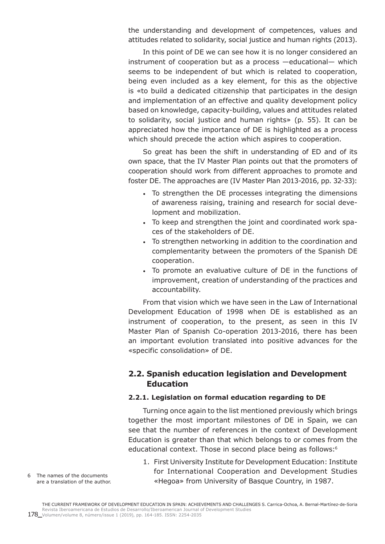the understanding and development of competences, values and attitudes related to solidarity, social justice and human rights (2013).

In this point of DE we can see how it is no longer considered an instrument of cooperation but as a process —educational— which seems to be independent of but which is related to cooperation, being even included as a key element, for this as the objective is «to build a dedicated citizenship that participates in the design and implementation of an effective and quality development policy based on knowledge, capacity-building, values and attitudes related to solidarity, social justice and human rights» (p. 55). It can be appreciated how the importance of DE is highlighted as a process which should precede the action which aspires to cooperation.

So great has been the shift in understanding of ED and of its own space, that the IV Master Plan points out that the promoters of cooperation should work from different approaches to promote and foster DE. The approaches are (IV Master Plan 2013-2016, pp. 32-33):

- To strengthen the DE processes integrating the dimensions of awareness raising, training and research for social development and mobilization.
- To keep and strengthen the joint and coordinated work spaces of the stakeholders of DE.
- To strengthen networking in addition to the coordination and complementarity between the promoters of the Spanish DE cooperation.
- To promote an evaluative culture of DE in the functions of improvement, creation of understanding of the practices and accountability.

From that vision which we have seen in the Law of International Development Education of 1998 when DE is established as an instrument of cooperation, to the present, as seen in this IV Master Plan of Spanish Co-operation 2013-2016, there has been an important evolution translated into positive advances for the «specific consolidation» of DE.

## **2.2. Spanish education legislation and Development Education**

#### **2.2.1. Legislation on formal education regarding to DE**

Turning once again to the list mentioned previously which brings together the most important milestones of DE in Spain, we can see that the number of references in the context of Development Education is greater than that which belongs to or comes from the educational context. Those in second place being as follows:6

1. First University Institute for Development Education: Institute for International Cooperation and Development Studies «Hegoa» from University of Basque Country, in 1987.

6 The names of the documents are a translation of the author.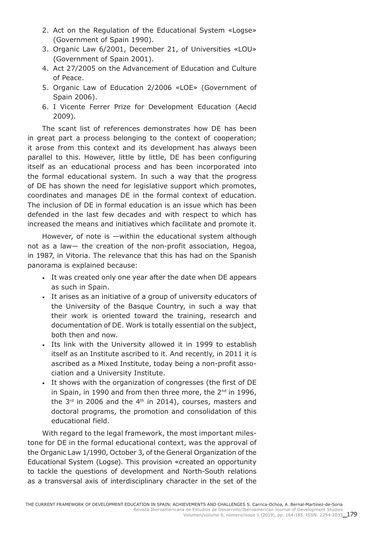- 2. Act on the Regulation of the Educational System «Logse» (Government of Spain 1990).
- 3. Organic Law 6/2001, December 21, of Universities «LOU» (Government of Spain 2001).
- 4. Act 27/2005 on the Advancement of Education and Culture of Peace.
- 5. Organic Law of Education 2/2006 «LOE» (Government of Spain 2006).
- 6. I Vicente Ferrer Prize for Development Education (Aecid 2009).

The scant list of references demonstrates how DE has been in great part a process belonging to the context of cooperation; it arose from this context and its development has always been parallel to this. However, little by little, DE has been configuring itself as an educational process and has been incorporated into the formal educational system. In such a way that the progress of DE has shown the need for legislative support which promotes, coordinates and manages DE in the formal context of education. The inclusion of DE in formal education is an issue which has been defended in the last few decades and with respect to which has increased the means and initiatives which facilitate and promote it.

However, of note is —within the educational system although not as a law— the creation of the non-profit association, Hegoa, in 1987, in Vitoria. The relevance that this has had on the Spanish panorama is explained because:

- It was created only one year after the date when DE appears as such in Spain.
- It arises as an initiative of a group of university educators of the University of the Basque Country, in such a way that their work is oriented toward the training, research and documentation of DE. Work is totally essential on the subject, both then and now.
- Its link with the University allowed it in 1999 to establish itself as an Institute ascribed to it. And recently, in 2011 it is ascribed as a Mixed Institute, today being a non-profit association and a University Institute.
- It shows with the organization of congresses (the first of DE in Spain, in 1990 and from then three more, the 2<sup>nd</sup> in 1996, the  $3<sup>rd</sup>$  in 2006 and the  $4<sup>th</sup>$  in 2014), courses, masters and doctoral programs, the promotion and consolidation of this educational field.

With regard to the legal framework, the most important milestone for DE in the formal educational context, was the approval of the Organic Law 1/1990, October 3, of the General Organization of the Educational System (Logse). This provision «created an opportunity to tackle the questions of development and North-South relations as a transversal axis of interdisciplinary character in the set of the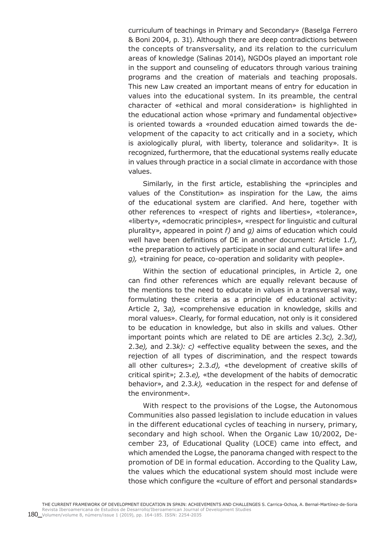curriculum of teachings in Primary and Secondary» (Baselga Ferrero & Boni 2004, p. 31). Although there are deep contradictions between the concepts of transversality, and its relation to the curriculum areas of knowledge (Salinas 2014), NGDOs played an important role in the support and counseling of educators through various training programs and the creation of materials and teaching proposals. This new Law created an important means of entry for education in values into the educational system. In its preamble, the central character of «ethical and moral consideration» is highlighted in the educational action whose «primary and fundamental objective» is oriented towards a «rounded education aimed towards the development of the capacity to act critically and in a society, which is axiologically plural, with liberty, tolerance and solidarity». It is recognized, furthermore, that the educational systems really educate in values through practice in a social climate in accordance with those values.

Similarly, in the first article, establishing the «principles and values of the Constitution» as inspiration for the Law, the aims of the educational system are clarified. And here, together with other references to «respect of rights and liberties», «tolerance», «liberty», «democratic principles», «respect for linguistic and cultural plurality», appeared in point *f)* and *g)* aims of education which could well have been definitions of DE in another document: Article 1.*f),* «the preparation to actively participate in social and cultural life» and *g),* «training for peace, co-operation and solidarity with people».

Within the section of educational principles, in Article 2, one can find other references which are equally relevant because of the mentions to the need to educate in values in a transversal way, formulating these criteria as a principle of educational activity: Article 2, 3*a),* «comprehensive education in knowledge, skills and moral values». Clearly, for formal education, not only is it considered to be education in knowledge, but also in skills and values. Other important points which are related to DE are articles 2.3*c),* 2.3*d),* 2.3*e),* and 2.3*k): c)* «effective equality between the sexes, and the rejection of all types of discrimination, and the respect towards all other cultures»; 2.3.*d),* «the development of creative skills of critical spirit»; 2.3.*e),* «the development of the habits of democratic behavior», and 2.3.*k),* «education in the respect for and defense of the environment».

With respect to the provisions of the Logse, the Autonomous Communities also passed legislation to include education in values in the different educational cycles of teaching in nursery, primary, secondary and high school. When the Organic Law 10/2002, December 23, of Educational Quality (LOCE) came into effect, and which amended the Logse, the panorama changed with respect to the promotion of DE in formal education. According to the Quality Law, the values which the educational system should most include were those which configure the «culture of effort and personal standards»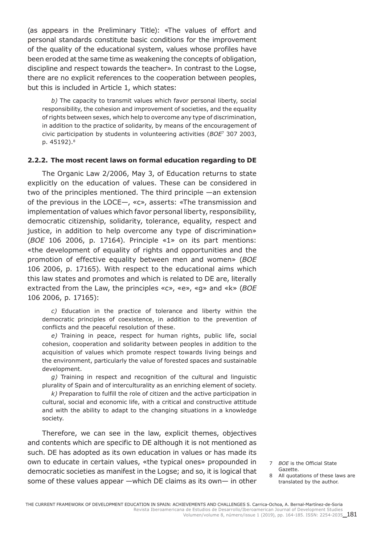(as appears in the Preliminary Title): «The values of effort and personal standards constitute basic conditions for the improvement of the quality of the educational system, values whose profiles have been eroded at the same time as weakening the concepts of obligation, discipline and respect towards the teacher». In contrast to the Logse, there are no explicit references to the cooperation between peoples, but this is included in Article 1, which states:

*b)* The capacity to transmit values which favor personal liberty, social responsibility, the cohesion and improvement of societies, and the equality of rights between sexes, which help to overcome any type of discrimination, in addition to the practice of solidarity, by means of the encouragement of civic participation by students in volunteering activities (*BOE*7 307 2003, p. 45192).<sup>8</sup>

#### **2.2.2. The most recent laws on formal education regarding to DE**

The Organic Law 2/2006, May 3, of Education returns to state explicitly on the education of values. These can be considered in two of the principles mentioned. The third principle —an extension of the previous in the LOCE—, «c», asserts: «The transmission and implementation of values which favor personal liberty, responsibility, democratic citizenship, solidarity, tolerance, equality, respect and justice, in addition to help overcome any type of discrimination» (*BOE* 106 2006, p. 17164). Principle «1» on its part mentions: «the development of equality of rights and opportunities and the promotion of effective equality between men and women» (*BOE* 106 2006, p. 17165). With respect to the educational aims which this law states and promotes and which is related to DE are, literally extracted from the Law, the principles «c», «e», «g» and «k» (*BOE* 106 2006, p. 17165):

*c)* Education in the practice of tolerance and liberty within the democratic principles of coexistence, in addition to the prevention of conflicts and the peaceful resolution of these.

*e)* Training in peace, respect for human rights, public life, social cohesion, cooperation and solidarity between peoples in addition to the acquisition of values which promote respect towards living beings and the environment, particularly the value of forested spaces and sustainable development.

*g)* Training in respect and recognition of the cultural and linguistic plurality of Spain and of interculturality as an enriching element of society.

*k)* Preparation to fulfill the role of citizen and the active participation in cultural, social and economic life, with a critical and constructive attitude and with the ability to adapt to the changing situations in a knowledge society.

Therefore, we can see in the law, explicit themes, objectives and contents which are specific to DE although it is not mentioned as such. DE has adopted as its own education in values or has made its own to educate in certain values, «the typical ones» propounded in democratic societies as manifest in the Logse; and so, it is logical that some of these values appear —which DE claims as its own— in other

- 7 *BOE* is the Official State Gazette.
- 8 All quotations of these laws are translated by the author.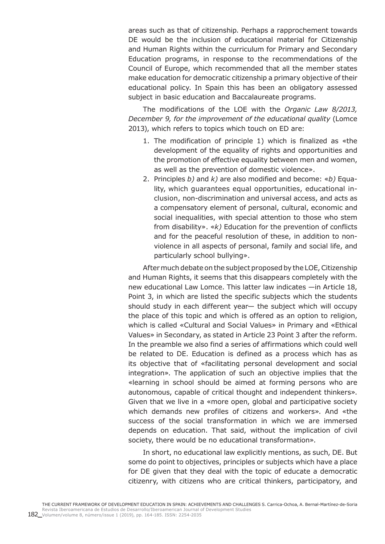areas such as that of citizenship. Perhaps a rapprochement towards DE would be the inclusion of educational material for Citizenship and Human Rights within the curriculum for Primary and Secondary Education programs, in response to the recommendations of the Council of Europe, which recommended that all the member states make education for democratic citizenship a primary objective of their educational policy. In Spain this has been an obligatory assessed subject in basic education and Baccalaureate programs.

The modifications of the LOE with the *Organic Law 8/2013, December 9, for the improvement of the educational quality* (Lomce 2013), which refers to topics which touch on ED are:

- 1. The modification of principle 1) which is finalized as «the development of the equality of rights and opportunities and the promotion of effective equality between men and women, as well as the prevention of domestic violence».
- 2. Principles *b)* and *k)* are also modified and become: «*b)* Equality, which guarantees equal opportunities, educational inclusion, non-discrimination and universal access, and acts as a compensatory element of personal, cultural, economic and social inequalities, with special attention to those who stem from disability». «*k)* Education for the prevention of conflicts and for the peaceful resolution of these, in addition to nonviolence in all aspects of personal, family and social life, and particularly school bullying».

After much debate on the subject proposed by the LOE, Citizenship and Human Rights, it seems that this disappears completely with the new educational Law Lomce. This latter law indicates —in Article 18, Point 3, in which are listed the specific subjects which the students should study in each different year— the subject which will occupy the place of this topic and which is offered as an option to religion, which is called «Cultural and Social Values» in Primary and «Ethical Values» in Secondary, as stated in Article 23 Point 3 after the reform. In the preamble we also find a series of affirmations which could well be related to DE. Education is defined as a process which has as its objective that of «facilitating personal development and social integration». The application of such an objective implies that the «learning in school should be aimed at forming persons who are autonomous, capable of critical thought and independent thinkers». Given that we live in a «more open, global and participative society which demands new profiles of citizens and workers». And «the success of the social transformation in which we are immersed depends on education. That said, without the implication of civil society, there would be no educational transformation».

In short, no educational law explicitly mentions, as such, DE. But some do point to objectives, principles or subjects which have a place for DE given that they deal with the topic of educate a democratic citizenry, with citizens who are critical thinkers, participatory, and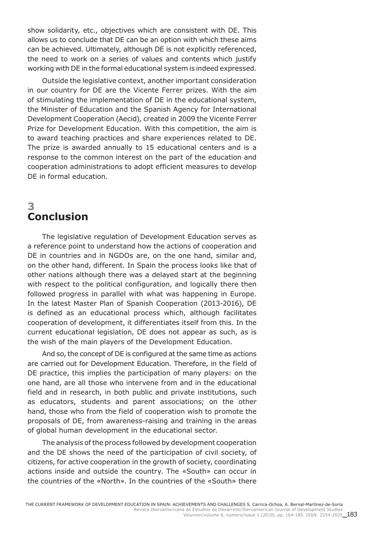show solidarity, etc., objectives which are consistent with DE. This allows us to conclude that DE can be an option with which these aims can be achieved. Ultimately, although DE is not explicitly referenced, the need to work on a series of values and contents which justify working with DE in the formal educational system is indeed expressed.

Outside the legislative context, another important consideration in our country for DE are the Vicente Ferrer prizes. With the aim of stimulating the implementation of DE in the educational system, the Minister of Education and the Spanish Agency for International Development Cooperation (Aecid), created in 2009 the Vicente Ferrer Prize for Development Education. With this competition, the aim is to award teaching practices and share experiences related to DE. The prize is awarded annually to 15 educational centers and is a response to the common interest on the part of the education and cooperation administrations to adopt efficient measures to develop DE in formal education.

# **3 Conclusion**

The legislative regulation of Development Education serves as a reference point to understand how the actions of cooperation and DE in countries and in NGDOs are, on the one hand, similar and, on the other hand, different. In Spain the process looks like that of other nations although there was a delayed start at the beginning with respect to the political configuration, and logically there then followed progress in parallel with what was happening in Europe. In the latest Master Plan of Spanish Cooperation (2013-2016), DE is defined as an educational process which, although facilitates cooperation of development, it differentiates itself from this. In the current educational legislation, DE does not appear as such, as is the wish of the main players of the Development Education.

And so, the concept of DE is configured at the same time as actions are carried out for Development Education. Therefore, in the field of DE practice, this implies the participation of many players: on the one hand, are all those who intervene from and in the educational field and in research, in both public and private institutions, such as educators, students and parent associations; on the other hand, those who from the field of cooperation wish to promote the proposals of DE, from awareness-raising and training in the areas of global human development in the educational sector.

The analysis of the process followed by development cooperation and the DE shows the need of the participation of civil society, of citizens, for active cooperation in the growth of society, coordinating actions inside and outside the country. The «South» can occur in the countries of the «North». In the countries of the «South» there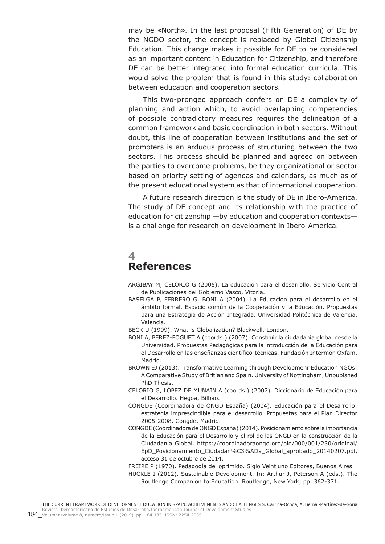may be «North». In the last proposal (Fifth Generation) of DE by the NGDO sector, the concept is replaced by Global Citizenship Education. This change makes it possible for DE to be considered as an important content in Education for Citizenship, and therefore DE can be better integrated into formal education curricula. This would solve the problem that is found in this study: collaboration between education and cooperation sectors.

This two-pronged approach confers on DE a complexity of planning and action which, to avoid overlapping competencies of possible contradictory measures requires the delineation of a common framework and basic coordination in both sectors. Without doubt, this line of cooperation between institutions and the set of promoters is an arduous process of structuring between the two sectors. This process should be planned and agreed on between the parties to overcome problems, be they organizational or sector based on priority setting of agendas and calendars, as much as of the present educational system as that of international cooperation.

A future research direction is the study of DE in Ibero-America. The study of DE concept and its relationship with the practice of education for citizenship —by education and cooperation contexts is a challenge for research on development in Ibero-America.

# **4 References**

- ARGIBAY M, CELORIO G (2005). La educación para el desarrollo. Servicio Central de Publicaciones del Gobierno Vasco, Vitoria.
- BASELGA P, FERRERO G, BONI A (2004). La Educación para el desarrollo en el ámbito formal. Espacio común de la Cooperación y la Educación. Propuestas para una Estrategia de Acción Integrada. Universidad Politécnica de Valencia, Valencia.
- BECK U (1999). What is Globalization? Blackwell, London.
- BONI A, PÉREZ-FOGUET A (coords.) (2007). Construir la ciudadanía global desde la Universidad. Propuestas Pedagógicas para la introducción de la Educación para el Desarrollo en las enseñanzas científico-técnicas. Fundación Intermón Oxfam, Madrid.
- BROWN EJ (2013). Transformative Learning through Developmenr Education NGOs: A Comparative Study of Britian and Spain. University of Nottingham, Unpubished PhD Thesis.
- CELORIO G, LÓPEZ DE MUNAIN A (coords.) (2007). Diccionario de Educación para el Desarrollo. Hegoa, Bilbao.
- CONGDE (Coordinadora de ONGD España) (2004). Educación para el Desarrollo: estrategia imprescindible para el desarrollo. Propuestas para el Plan Director 2005-2008. Congde, Madrid.
- CONGDE (Coordinadora de ONGD España) (2014). Posicionamiento sobre la importancia de la Educación para el Desarrollo y el rol de las ONGD en la construcción de la Ciudadanía Global. https://coordinadoraongd.org/old/000/001/230/original/ EpD\_Posicionamiento\_Ciudadan%C3%ADa\_Global\_aprobado\_20140207.pdf, acceso 31 de octubre de 2014.
- FREIRE P (1970). Pedagogía del oprimido. Siglo Veintiuno Editores, Buenos Aires. HUCKLE I (2012). Sustainable Development. In: Arthur J, Peterson A (eds.). The Routledge Companion to Education. Routledge, New York, pp. 362-371.